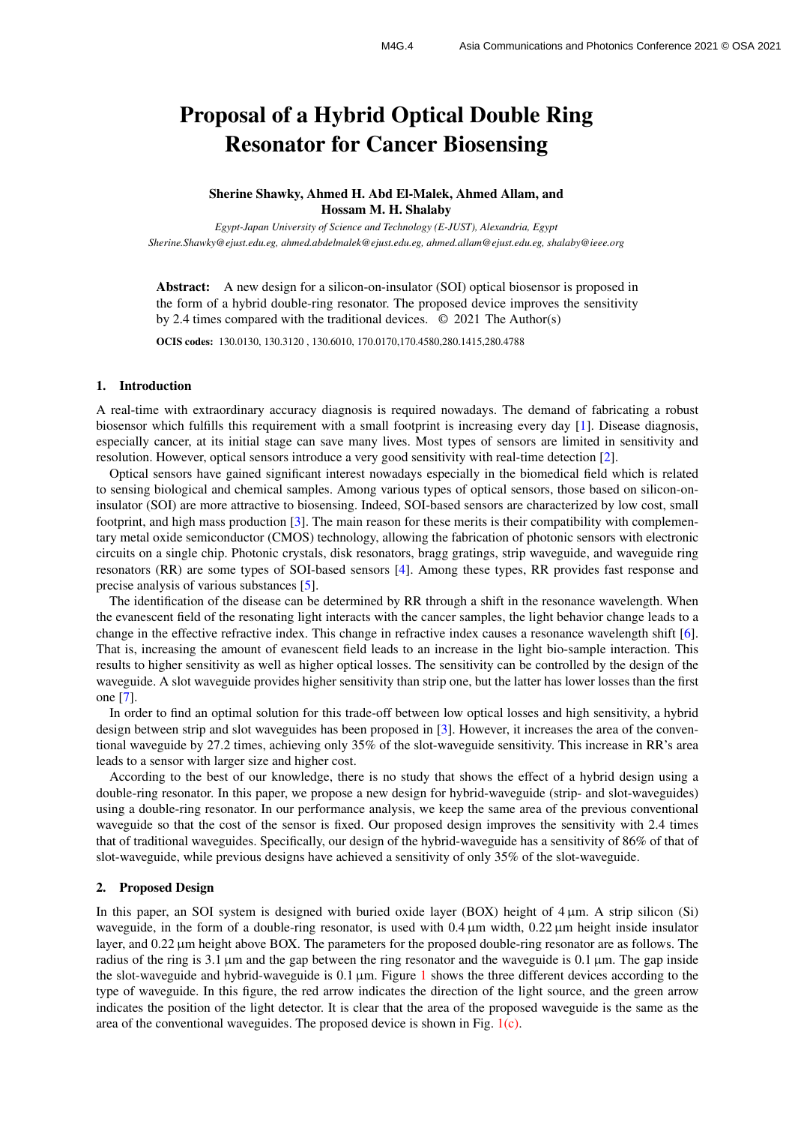# Proposal of a Hybrid Optical Double Ring Resonator for Cancer Biosensing

Sherine Shawky, Ahmed H. Abd El-Malek, Ahmed Allam, and Hossam M. H. Shalaby

*Egypt-Japan University of Science and Technology (E-JUST), Alexandria, Egypt Sherine.Shawky@ejust.edu.eg, ahmed.abdelmalek@ejust.edu.eg, ahmed.allam@ejust.edu.eg, shalaby@ieee.org*

Abstract: A new design for a silicon-on-insulator (SOI) optical biosensor is proposed in the form of a hybrid double-ring resonator. The proposed device improves the sensitivity by 2.4 times compared with the traditional devices. © 2021 The Author(s)

OCIS codes: 130.0130, 130.3120 , 130.6010, 170.0170,170.4580,280.1415,280.4788

### 1. Introduction

A real-time with extraordinary accuracy diagnosis is required nowadays. The demand of fabricating a robust biosensor which fulfills this requirement with a small footprint is increasing every day [\[1\]](#page-2-0). Disease diagnosis, especially cancer, at its initial stage can save many lives. Most types of sensors are limited in sensitivity and resolution. However, optical sensors introduce a very good sensitivity with real-time detection [\[2\]](#page-2-1).

Optical sensors have gained significant interest nowadays especially in the biomedical field which is related to sensing biological and chemical samples. Among various types of optical sensors, those based on silicon-oninsulator (SOI) are more attractive to biosensing. Indeed, SOI-based sensors are characterized by low cost, small footprint, and high mass production [\[3\]](#page-2-2). The main reason for these merits is their compatibility with complementary metal oxide semiconductor (CMOS) technology, allowing the fabrication of photonic sensors with electronic circuits on a single chip. Photonic crystals, disk resonators, bragg gratings, strip waveguide, and waveguide ring resonators (RR) are some types of SOI-based sensors [\[4\]](#page-2-3). Among these types, RR provides fast response and precise analysis of various substances [\[5\]](#page-2-4).

The identification of the disease can be determined by RR through a shift in the resonance wavelength. When the evanescent field of the resonating light interacts with the cancer samples, the light behavior change leads to a change in the effective refractive index. This change in refractive index causes a resonance wavelength shift [\[6\]](#page-2-5). That is, increasing the amount of evanescent field leads to an increase in the light bio-sample interaction. This results to higher sensitivity as well as higher optical losses. The sensitivity can be controlled by the design of the waveguide. A slot waveguide provides higher sensitivity than strip one, but the latter has lower losses than the first one [\[7\]](#page-2-6).

In order to find an optimal solution for this trade-off between low optical losses and high sensitivity, a hybrid design between strip and slot waveguides has been proposed in [\[3\]](#page-2-2). However, it increases the area of the conventional waveguide by 27.2 times, achieving only 35% of the slot-waveguide sensitivity. This increase in RR's area leads to a sensor with larger size and higher cost.

According to the best of our knowledge, there is no study that shows the effect of a hybrid design using a double-ring resonator. In this paper, we propose a new design for hybrid-waveguide (strip- and slot-waveguides) using a double-ring resonator. In our performance analysis, we keep the same area of the previous conventional waveguide so that the cost of the sensor is fixed. Our proposed design improves the sensitivity with 2.4 times that of traditional waveguides. Specifically, our design of the hybrid-waveguide has a sensitivity of 86% of that of slot-waveguide, while previous designs have achieved a sensitivity of only 35% of the slot-waveguide.

## 2. Proposed Design

In this paper, an SOI system is designed with buried oxide layer (BOX) height of  $4 \mu m$ . A strip silicon (Si) waveguide, in the form of a double-ring resonator, is used with 0.4  $\mu$ m width, 0.22  $\mu$ m height inside insulator layer, and  $0.22 \mu m$  height above BOX. The parameters for the proposed double-ring resonator are as follows. The radius of the ring is 3.1 um and the gap between the ring resonator and the waveguide is 0.1 um. The gap inside the slot-waveguide and hybrid-waveguide is  $0.1 \mu m$  $0.1 \mu m$  $0.1 \mu m$ . Figure 1 shows the three different devices according to the type of waveguide. In this figure, the red arrow indicates the direction of the light source, and the green arrow indicates the position of the light detector. It is clear that the area of the proposed waveguide is the same as the area of the conventional waveguides. The proposed device is shown in Fig.  $1(c)$  $1(c)$ .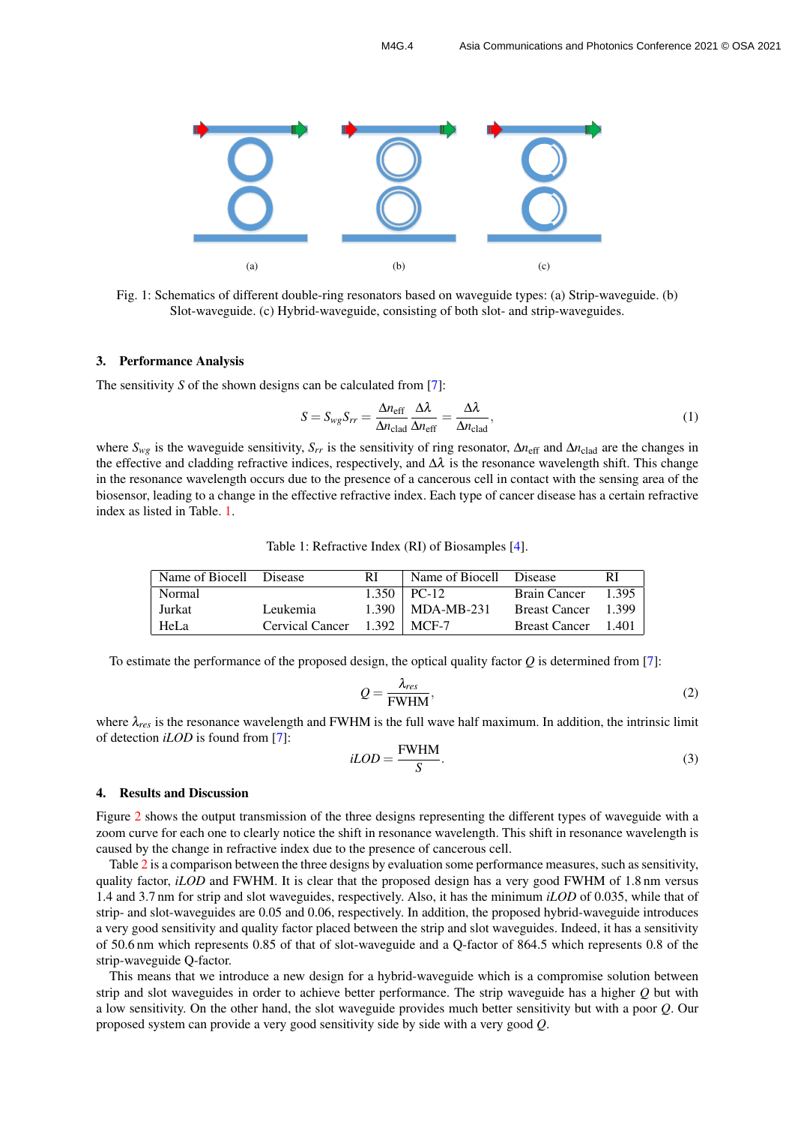<span id="page-1-0"></span>

Fig. 1: Schematics of different double-ring resonators based on waveguide types: (a) Strip-waveguide. (b) Slot-waveguide. (c) Hybrid-waveguide, consisting of both slot- and strip-waveguides.

#### 3. Performance Analysis

The sensitivity *S* of the shown designs can be calculated from [\[7\]](#page-2-6):

<span id="page-1-1"></span>
$$
S = S_{wg}S_{rr} = \frac{\Delta n_{\text{eff}}}{\Delta n_{\text{clad}}}\frac{\Delta\lambda}{\Delta n_{\text{eff}}} = \frac{\Delta\lambda}{\Delta n_{\text{clad}}},\tag{1}
$$

where *Swg* is the waveguide sensitivity, *Srr* is the sensitivity of ring resonator, ∆*n*eff and ∆*n*clad are the changes in the effective and cladding refractive indices, respectively, and  $\Delta\lambda$  is the resonance wavelength shift. This change in the resonance wavelength occurs due to the presence of a cancerous cell in contact with the sensing area of the biosensor, leading to a change in the effective refractive index. Each type of cancer disease has a certain refractive index as listed in Table. [1.](#page-1-2)

Table 1: Refractive Index (RI) of Biosamples [\[4\]](#page-2-3).

<span id="page-1-2"></span>

| Name of Biocell Disease |                 | RI | Name of Biocell Disease |                      | RI      |
|-------------------------|-----------------|----|-------------------------|----------------------|---------|
| Normal                  |                 |    | $1.350$   PC-12         | <b>Brain Cancer</b>  | $1.395$ |
| Jurkat                  | Leukemia        |    | $1.390$   MDA-MB-231    | <b>Breast Cancer</b> | 1.399   |
| <b>HeLa</b>             | Cervical Cancer |    | $1.392 \perp MCF-7$     | <b>Breast Cancer</b> | 1.401   |

To estimate the performance of the proposed design, the optical quality factor *Q* is determined from [\[7\]](#page-2-6):

$$
Q = \frac{\lambda_{res}}{\text{FWHM}},\tag{2}
$$

where λ*res* is the resonance wavelength and FWHM is the full wave half maximum. In addition, the intrinsic limit of detection *iLOD* is found from [\[7\]](#page-2-6):

$$
iLOD = \frac{\text{FWHM}}{S}.\tag{3}
$$

#### 4. Results and Discussion

Figure [2](#page-2-7) shows the output transmission of the three designs representing the different types of waveguide with a zoom curve for each one to clearly notice the shift in resonance wavelength. This shift in resonance wavelength is caused by the change in refractive index due to the presence of cancerous cell.

Table [2](#page-2-8) is a comparison between the three designs by evaluation some performance measures, such as sensitivity, quality factor, *iLOD* and FWHM. It is clear that the proposed design has a very good FWHM of 1.8 nm versus 1.4 and 3.7 nm for strip and slot waveguides, respectively. Also, it has the minimum *iLOD* of 0.035, while that of strip- and slot-waveguides are 0.05 and 0.06, respectively. In addition, the proposed hybrid-waveguide introduces a very good sensitivity and quality factor placed between the strip and slot waveguides. Indeed, it has a sensitivity of 50.6 nm which represents 0.85 of that of slot-waveguide and a Q-factor of 864.5 which represents 0.8 of the strip-waveguide Q-factor.

This means that we introduce a new design for a hybrid-waveguide which is a compromise solution between strip and slot waveguides in order to achieve better performance. The strip waveguide has a higher *Q* but with a low sensitivity. On the other hand, the slot waveguide provides much better sensitivity but with a poor *Q*. Our proposed system can provide a very good sensitivity side by side with a very good *Q*.